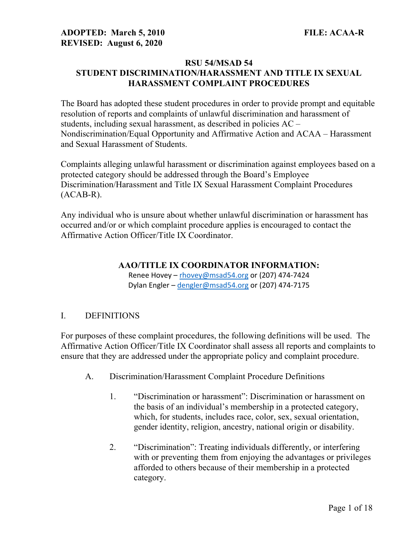#### RSU 54/MSAD 54 STUDENT DISCRIMINATION/HARASSMENT AND TITLE IX SEXUAL HARASSMENT COMPLAINT PROCEDURES

The Board has adopted these student procedures in order to provide prompt and equitable resolution of reports and complaints of unlawful discrimination and harassment of students, including sexual harassment, as described in policies AC – Nondiscrimination/Equal Opportunity and Affirmative Action and ACAA – Harassment and Sexual Harassment of Students.

Complaints alleging unlawful harassment or discrimination against employees based on a protected category should be addressed through the Board's Employee Discrimination/Harassment and Title IX Sexual Harassment Complaint Procedures  $(ACAB-R)$ .

Any individual who is unsure about whether unlawful discrimination or harassment has occurred and/or or which complaint procedure applies is encouraged to contact the Affirmative Action Officer/Title IX Coordinator.

#### AAO/TITLE IX COORDINATOR INFORMATION:

Renee Hovey – rhovey@msad54.org or (207) 474-7424 Dylan Engler - dengler@msad54.org or (207) 474-7175

## I. DEFINITIONS

For purposes of these complaint procedures, the following definitions will be used. The Affirmative Action Officer/Title IX Coordinator shall assess all reports and complaints to ensure that they are addressed under the appropriate policy and complaint procedure.

- A. Discrimination/Harassment Complaint Procedure Definitions
	- 1. "Discrimination or harassment": Discrimination or harassment on the basis of an individual's membership in a protected category, which, for students, includes race, color, sex, sexual orientation, gender identity, religion, ancestry, national origin or disability.
	- 2. "Discrimination": Treating individuals differently, or interfering with or preventing them from enjoying the advantages or privileges afforded to others because of their membership in a protected category.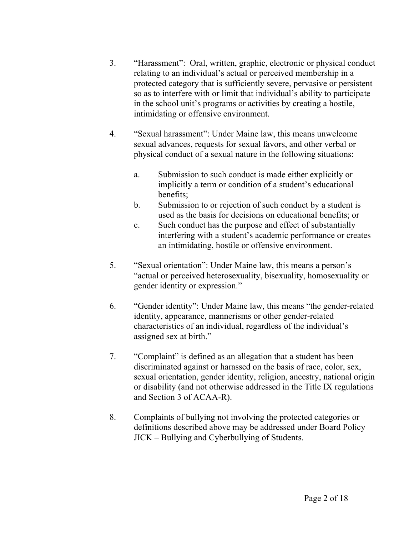- 3. "Harassment": Oral, written, graphic, electronic or physical conduct relating to an individual's actual or perceived membership in a protected category that is sufficiently severe, pervasive or persistent so as to interfere with or limit that individual's ability to participate in the school unit's programs or activities by creating a hostile, intimidating or offensive environment.
- 4. "Sexual harassment": Under Maine law, this means unwelcome sexual advances, requests for sexual favors, and other verbal or physical conduct of a sexual nature in the following situations:
	- a. Submission to such conduct is made either explicitly or implicitly a term or condition of a student's educational benefits;
	- b. Submission to or rejection of such conduct by a student is used as the basis for decisions on educational benefits; or
	- c. Such conduct has the purpose and effect of substantially interfering with a student's academic performance or creates an intimidating, hostile or offensive environment.
- 5. "Sexual orientation": Under Maine law, this means a person's "actual or perceived heterosexuality, bisexuality, homosexuality or gender identity or expression."
- 6. "Gender identity": Under Maine law, this means "the gender-related identity, appearance, mannerisms or other gender-related characteristics of an individual, regardless of the individual's assigned sex at birth."
- 7. "Complaint" is defined as an allegation that a student has been discriminated against or harassed on the basis of race, color, sex, sexual orientation, gender identity, religion, ancestry, national origin or disability (and not otherwise addressed in the Title IX regulations and Section 3 of ACAA-R).
- 8. Complaints of bullying not involving the protected categories or definitions described above may be addressed under Board Policy JICK – Bullying and Cyberbullying of Students.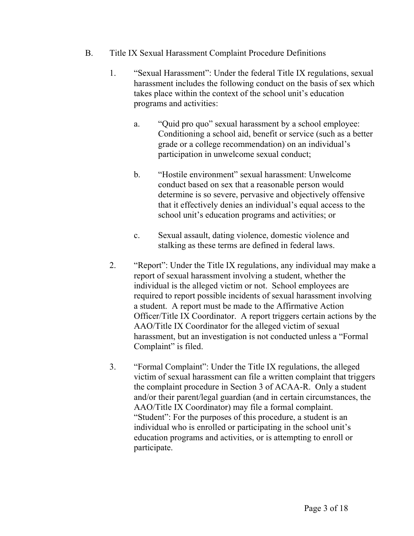- B. Title IX Sexual Harassment Complaint Procedure Definitions
	- 1. "Sexual Harassment": Under the federal Title IX regulations, sexual harassment includes the following conduct on the basis of sex which takes place within the context of the school unit's education programs and activities:
		- a. "Quid pro quo" sexual harassment by a school employee: Conditioning a school aid, benefit or service (such as a better grade or a college recommendation) on an individual's participation in unwelcome sexual conduct;
		- b. "Hostile environment" sexual harassment: Unwelcome conduct based on sex that a reasonable person would determine is so severe, pervasive and objectively offensive that it effectively denies an individual's equal access to the school unit's education programs and activities; or
		- c. Sexual assault, dating violence, domestic violence and stalking as these terms are defined in federal laws.
	- 2. "Report": Under the Title IX regulations, any individual may make a report of sexual harassment involving a student, whether the individual is the alleged victim or not. School employees are required to report possible incidents of sexual harassment involving a student. A report must be made to the Affirmative Action Officer/Title IX Coordinator. A report triggers certain actions by the AAO/Title IX Coordinator for the alleged victim of sexual harassment, but an investigation is not conducted unless a "Formal Complaint" is filed.
	- 3. "Formal Complaint": Under the Title IX regulations, the alleged victim of sexual harassment can file a written complaint that triggers the complaint procedure in Section 3 of ACAA-R. Only a student and/or their parent/legal guardian (and in certain circumstances, the AAO/Title IX Coordinator) may file a formal complaint. "Student": For the purposes of this procedure, a student is an individual who is enrolled or participating in the school unit's education programs and activities, or is attempting to enroll or participate.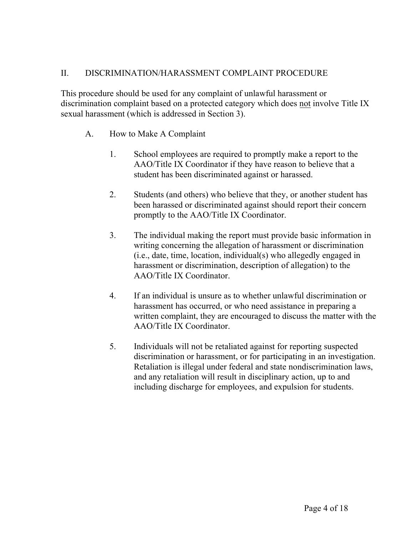# II. DISCRIMINATION/HARASSMENT COMPLAINT PROCEDURE

This procedure should be used for any complaint of unlawful harassment or discrimination complaint based on a protected category which does not involve Title IX sexual harassment (which is addressed in Section 3).

- A. How to Make A Complaint
	- 1. School employees are required to promptly make a report to the AAO/Title IX Coordinator if they have reason to believe that a student has been discriminated against or harassed.
	- 2. Students (and others) who believe that they, or another student has been harassed or discriminated against should report their concern promptly to the AAO/Title IX Coordinator.
	- 3. The individual making the report must provide basic information in writing concerning the allegation of harassment or discrimination (i.e., date, time, location, individual(s) who allegedly engaged in harassment or discrimination, description of allegation) to the AAO/Title IX Coordinator.
	- 4. If an individual is unsure as to whether unlawful discrimination or harassment has occurred, or who need assistance in preparing a written complaint, they are encouraged to discuss the matter with the AAO/Title IX Coordinator.
	- 5. Individuals will not be retaliated against for reporting suspected discrimination or harassment, or for participating in an investigation. Retaliation is illegal under federal and state nondiscrimination laws, and any retaliation will result in disciplinary action, up to and including discharge for employees, and expulsion for students.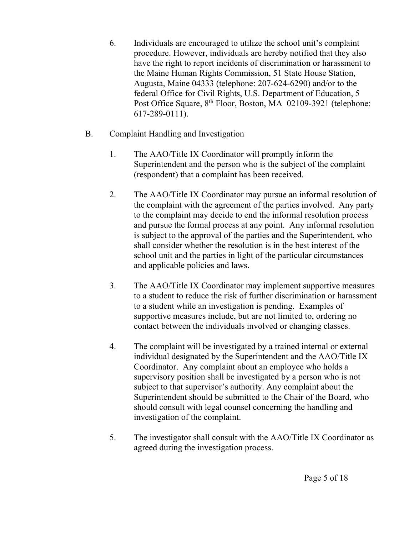- 6. Individuals are encouraged to utilize the school unit's complaint procedure. However, individuals are hereby notified that they also have the right to report incidents of discrimination or harassment to the Maine Human Rights Commission, 51 State House Station, Augusta, Maine 04333 (telephone: 207-624-6290) and/or to the federal Office for Civil Rights, U.S. Department of Education, 5 Post Office Square, 8<sup>th</sup> Floor, Boston, MA 02109-3921 (telephone: 617-289-0111).
- B. Complaint Handling and Investigation
	- 1. The AAO/Title IX Coordinator will promptly inform the Superintendent and the person who is the subject of the complaint (respondent) that a complaint has been received.
	- 2. The AAO/Title IX Coordinator may pursue an informal resolution of the complaint with the agreement of the parties involved. Any party to the complaint may decide to end the informal resolution process and pursue the formal process at any point. Any informal resolution is subject to the approval of the parties and the Superintendent, who shall consider whether the resolution is in the best interest of the school unit and the parties in light of the particular circumstances and applicable policies and laws.
	- 3. The AAO/Title IX Coordinator may implement supportive measures to a student to reduce the risk of further discrimination or harassment to a student while an investigation is pending. Examples of supportive measures include, but are not limited to, ordering no contact between the individuals involved or changing classes.
	- 4. The complaint will be investigated by a trained internal or external individual designated by the Superintendent and the AAO/Title IX Coordinator. Any complaint about an employee who holds a supervisory position shall be investigated by a person who is not subject to that supervisor's authority. Any complaint about the Superintendent should be submitted to the Chair of the Board, who should consult with legal counsel concerning the handling and investigation of the complaint.
	- 5. The investigator shall consult with the AAO/Title IX Coordinator as agreed during the investigation process.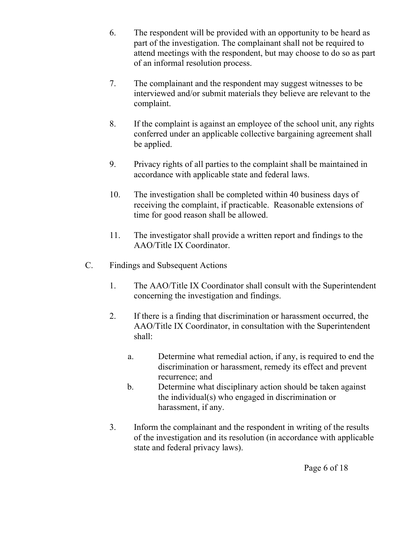- 6. The respondent will be provided with an opportunity to be heard as part of the investigation. The complainant shall not be required to attend meetings with the respondent, but may choose to do so as part of an informal resolution process.
- 7. The complainant and the respondent may suggest witnesses to be interviewed and/or submit materials they believe are relevant to the complaint.
- 8. If the complaint is against an employee of the school unit, any rights conferred under an applicable collective bargaining agreement shall be applied.
- 9. Privacy rights of all parties to the complaint shall be maintained in accordance with applicable state and federal laws.
- 10. The investigation shall be completed within 40 business days of receiving the complaint, if practicable. Reasonable extensions of time for good reason shall be allowed.
- 11. The investigator shall provide a written report and findings to the AAO/Title IX Coordinator.
- C. Findings and Subsequent Actions
	- 1. The AAO/Title IX Coordinator shall consult with the Superintendent concerning the investigation and findings.
	- 2. If there is a finding that discrimination or harassment occurred, the AAO/Title IX Coordinator, in consultation with the Superintendent shall:
		- a. Determine what remedial action, if any, is required to end the discrimination or harassment, remedy its effect and prevent recurrence; and
		- b. Determine what disciplinary action should be taken against the individual(s) who engaged in discrimination or harassment, if any.
	- 3. Inform the complainant and the respondent in writing of the results of the investigation and its resolution (in accordance with applicable state and federal privacy laws).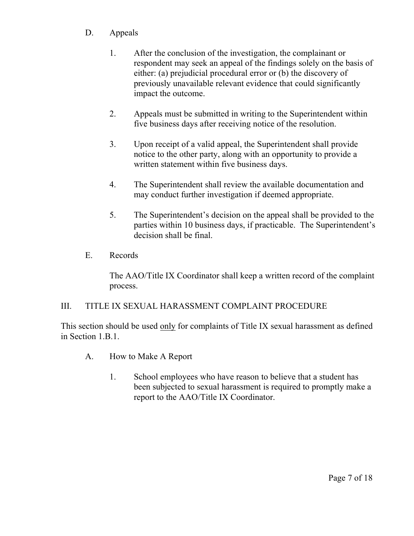# D. Appeals

- 1. After the conclusion of the investigation, the complainant or respondent may seek an appeal of the findings solely on the basis of either: (a) prejudicial procedural error or (b) the discovery of previously unavailable relevant evidence that could significantly impact the outcome.
- 2. Appeals must be submitted in writing to the Superintendent within five business days after receiving notice of the resolution.
- 3. Upon receipt of a valid appeal, the Superintendent shall provide notice to the other party, along with an opportunity to provide a written statement within five business days.
- 4. The Superintendent shall review the available documentation and may conduct further investigation if deemed appropriate.
- 5. The Superintendent's decision on the appeal shall be provided to the parties within 10 business days, if practicable. The Superintendent's decision shall be final.
- E. Records

The AAO/Title IX Coordinator shall keep a written record of the complaint process.

## III. TITLE IX SEXUAL HARASSMENT COMPLAINT PROCEDURE

This section should be used only for complaints of Title IX sexual harassment as defined in Section 1.B.1.

- A. How to Make A Report
	- 1. School employees who have reason to believe that a student has been subjected to sexual harassment is required to promptly make a report to the AAO/Title IX Coordinator.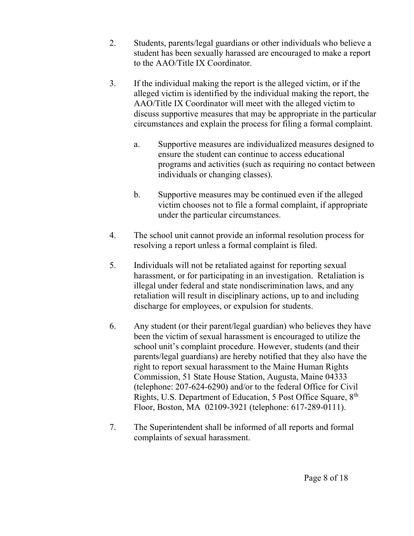- 2. Students, parents/legal guardians or other individuals who believe a student has been sexually harassed are encouraged to make a report to the AAO/Title IX Coordinator.
- 3. If the individual making the report is the alleged victim, or if the alleged victim is identified by the individual making the report, the AAO/Title IX Coordinator will meet with the alleged victim to discuss supportive measures that may be appropriate in the particular circumstances and explain the process for filing a formal complaint.
	- a. Supportive measures are individualized measures designed to ensure the student can continue to access educational programs and activities (such as requiring no contact between individuals or changing classes).
	- b. Supportive measures may be continued even if the alleged victim chooses not to file a formal complaint, if appropriate under the particular circumstances.
- 4. The school unit cannot provide an informal resolution process for resolving a report unless a formal complaint is filed.
- 5. Individuals will not be retaliated against for reporting sexual harassment, or for participating in an investigation. Retaliation is illegal under federal and state nondiscrimination laws, and any retaliation will result in disciplinary actions, up to and including discharge for employees, or expulsion for students.
- 6. Any student (or their parent/legal guardian) who believes they have been the victim of sexual harassment is encouraged to utilize the school unit's complaint procedure. However, students (and their parents/legal guardians) are hereby notified that they also have the right to report sexual harassment to the Maine Human Rights Commission, 51 State House Station, Augusta, Maine 04333 (telephone: 207-624-6290) and/or to the federal Office for Civil Rights, U.S. Department of Education, 5 Post Office Square, 8<sup>th</sup> Floor, Boston, MA 02109-3921 (telephone: 617-289-0111).
- 7. The Superintendent shall be informed of all reports and formal complaints of sexual harassment.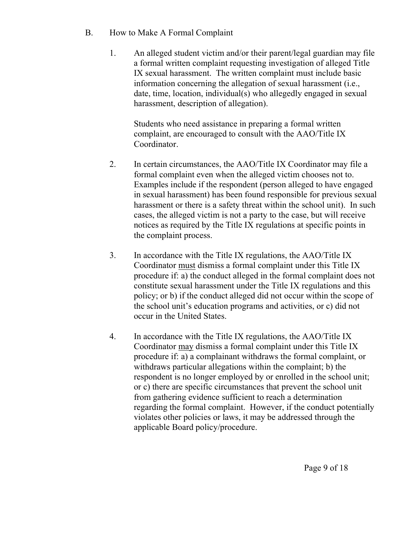- B. How to Make A Formal Complaint
	- 1. An alleged student victim and/or their parent/legal guardian may file a formal written complaint requesting investigation of alleged Title IX sexual harassment. The written complaint must include basic information concerning the allegation of sexual harassment (i.e., date, time, location, individual(s) who allegedly engaged in sexual harassment, description of allegation).

Students who need assistance in preparing a formal written complaint, are encouraged to consult with the AAO/Title IX Coordinator.

- 2. In certain circumstances, the AAO/Title IX Coordinator may file a formal complaint even when the alleged victim chooses not to. Examples include if the respondent (person alleged to have engaged in sexual harassment) has been found responsible for previous sexual harassment or there is a safety threat within the school unit). In such cases, the alleged victim is not a party to the case, but will receive notices as required by the Title IX regulations at specific points in the complaint process.
- 3. In accordance with the Title IX regulations, the AAO/Title IX Coordinator must dismiss a formal complaint under this Title IX procedure if: a) the conduct alleged in the formal complaint does not constitute sexual harassment under the Title IX regulations and this policy; or b) if the conduct alleged did not occur within the scope of the school unit's education programs and activities, or c) did not occur in the United States.
- 4. In accordance with the Title IX regulations, the AAO/Title IX Coordinator may dismiss a formal complaint under this Title IX procedure if: a) a complainant withdraws the formal complaint, or withdraws particular allegations within the complaint; b) the respondent is no longer employed by or enrolled in the school unit; or c) there are specific circumstances that prevent the school unit from gathering evidence sufficient to reach a determination regarding the formal complaint. However, if the conduct potentially violates other policies or laws, it may be addressed through the applicable Board policy/procedure.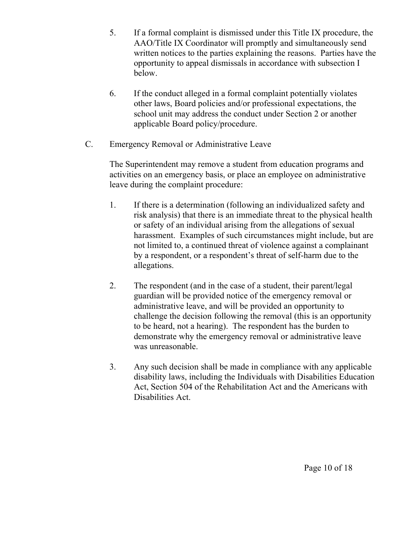- 5. If a formal complaint is dismissed under this Title IX procedure, the AAO/Title IX Coordinator will promptly and simultaneously send written notices to the parties explaining the reasons. Parties have the opportunity to appeal dismissals in accordance with subsection I below.
- 6. If the conduct alleged in a formal complaint potentially violates other laws, Board policies and/or professional expectations, the school unit may address the conduct under Section 2 or another applicable Board policy/procedure.
- C. Emergency Removal or Administrative Leave

The Superintendent may remove a student from education programs and activities on an emergency basis, or place an employee on administrative leave during the complaint procedure:

- 1. If there is a determination (following an individualized safety and risk analysis) that there is an immediate threat to the physical health or safety of an individual arising from the allegations of sexual harassment. Examples of such circumstances might include, but are not limited to, a continued threat of violence against a complainant by a respondent, or a respondent's threat of self-harm due to the allegations.
- 2. The respondent (and in the case of a student, their parent/legal guardian will be provided notice of the emergency removal or administrative leave, and will be provided an opportunity to challenge the decision following the removal (this is an opportunity to be heard, not a hearing). The respondent has the burden to demonstrate why the emergency removal or administrative leave was unreasonable.
- 3. Any such decision shall be made in compliance with any applicable disability laws, including the Individuals with Disabilities Education Act, Section 504 of the Rehabilitation Act and the Americans with Disabilities Act.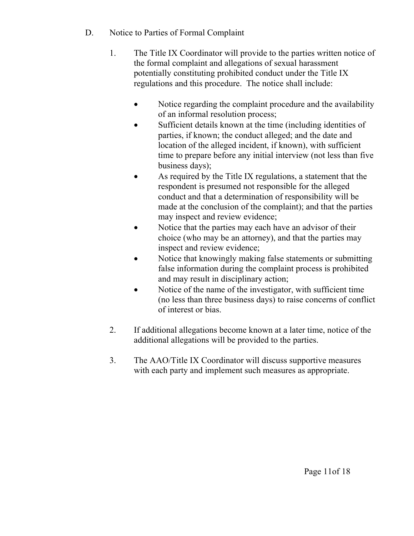- D. Notice to Parties of Formal Complaint
	- 1. The Title IX Coordinator will provide to the parties written notice of the formal complaint and allegations of sexual harassment potentially constituting prohibited conduct under the Title IX regulations and this procedure. The notice shall include:
		- Notice regarding the complaint procedure and the availability of an informal resolution process;
		- Sufficient details known at the time (including identities of parties, if known; the conduct alleged; and the date and location of the alleged incident, if known), with sufficient time to prepare before any initial interview (not less than five business days);
		- As required by the Title IX regulations, a statement that the respondent is presumed not responsible for the alleged conduct and that a determination of responsibility will be made at the conclusion of the complaint); and that the parties may inspect and review evidence;
		- Notice that the parties may each have an advisor of their choice (who may be an attorney), and that the parties may inspect and review evidence;
		- Notice that knowingly making false statements or submitting false information during the complaint process is prohibited and may result in disciplinary action;
		- Notice of the name of the investigator, with sufficient time (no less than three business days) to raise concerns of conflict of interest or bias.
	- 2. If additional allegations become known at a later time, notice of the additional allegations will be provided to the parties.
	- 3. The AAO/Title IX Coordinator will discuss supportive measures with each party and implement such measures as appropriate.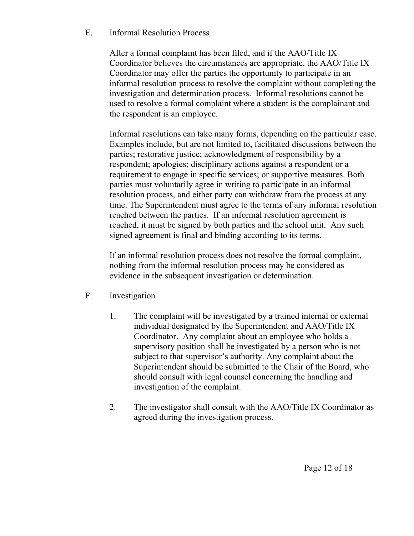# E. Informal Resolution Process

After a formal complaint has been filed, and if the AAO/Title IX Coordinator believes the circumstances are appropriate, the AAO/Title IX Coordinator may offer the parties the opportunity to participate in an informal resolution process to resolve the complaint without completing the investigation and determination process. Informal resolutions cannot be used to resolve a formal complaint where a student is the complainant and the respondent is an employee.

Informal resolutions can take many forms, depending on the particular case. Examples include, but are not limited to, facilitated discussions between the parties; restorative justice; acknowledgment of responsibility by a respondent; apologies; disciplinary actions against a respondent or a requirement to engage in specific services; or supportive measures. Both parties must voluntarily agree in writing to participate in an informal resolution process, and either party can withdraw from the process at any time. The Superintendent must agree to the terms of any informal resolution reached between the parties. If an informal resolution agreement is reached, it must be signed by both parties and the school unit. Any such signed agreement is final and binding according to its terms.

If an informal resolution process does not resolve the formal complaint, nothing from the informal resolution process may be considered as evidence in the subsequent investigation or determination.

- F. Investigation
	- 1. The complaint will be investigated by a trained internal or external individual designated by the Superintendent and AAO/Title IX Coordinator. Any complaint about an employee who holds a supervisory position shall be investigated by a person who is not subject to that supervisor's authority. Any complaint about the Superintendent should be submitted to the Chair of the Board, who should consult with legal counsel concerning the handling and investigation of the complaint.
	- 2. The investigator shall consult with the AAO/Title IX Coordinator as agreed during the investigation process.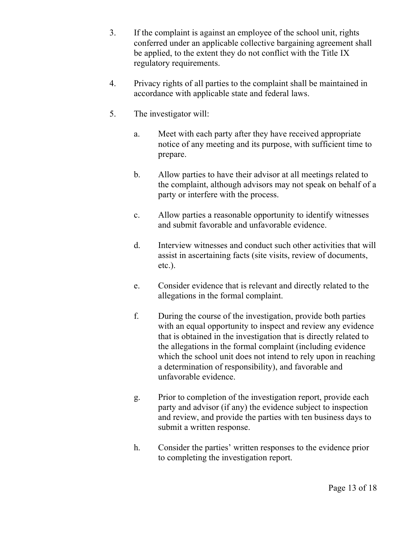- 3. If the complaint is against an employee of the school unit, rights conferred under an applicable collective bargaining agreement shall be applied, to the extent they do not conflict with the Title IX regulatory requirements.
- 4. Privacy rights of all parties to the complaint shall be maintained in accordance with applicable state and federal laws.
- 5. The investigator will:
	- a. Meet with each party after they have received appropriate notice of any meeting and its purpose, with sufficient time to prepare.
	- b. Allow parties to have their advisor at all meetings related to the complaint, although advisors may not speak on behalf of a party or interfere with the process.
	- c. Allow parties a reasonable opportunity to identify witnesses and submit favorable and unfavorable evidence.
	- d. Interview witnesses and conduct such other activities that will assist in ascertaining facts (site visits, review of documents, etc.).
	- e. Consider evidence that is relevant and directly related to the allegations in the formal complaint.
	- f. During the course of the investigation, provide both parties with an equal opportunity to inspect and review any evidence that is obtained in the investigation that is directly related to the allegations in the formal complaint (including evidence which the school unit does not intend to rely upon in reaching a determination of responsibility), and favorable and unfavorable evidence.
	- g. Prior to completion of the investigation report, provide each party and advisor (if any) the evidence subject to inspection and review, and provide the parties with ten business days to submit a written response.
	- h. Consider the parties' written responses to the evidence prior to completing the investigation report.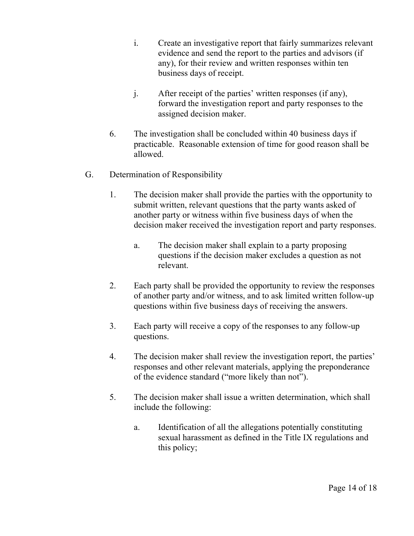- i. Create an investigative report that fairly summarizes relevant evidence and send the report to the parties and advisors (if any), for their review and written responses within ten business days of receipt.
- j. After receipt of the parties' written responses (if any), forward the investigation report and party responses to the assigned decision maker.
- 6. The investigation shall be concluded within 40 business days if practicable. Reasonable extension of time for good reason shall be allowed.
- G. Determination of Responsibility
	- 1. The decision maker shall provide the parties with the opportunity to submit written, relevant questions that the party wants asked of another party or witness within five business days of when the decision maker received the investigation report and party responses.
		- a. The decision maker shall explain to a party proposing questions if the decision maker excludes a question as not relevant.
	- 2. Each party shall be provided the opportunity to review the responses of another party and/or witness, and to ask limited written follow-up questions within five business days of receiving the answers.
	- 3. Each party will receive a copy of the responses to any follow-up questions.
	- 4. The decision maker shall review the investigation report, the parties' responses and other relevant materials, applying the preponderance of the evidence standard ("more likely than not").
	- 5. The decision maker shall issue a written determination, which shall include the following:
		- a. Identification of all the allegations potentially constituting sexual harassment as defined in the Title IX regulations and this policy;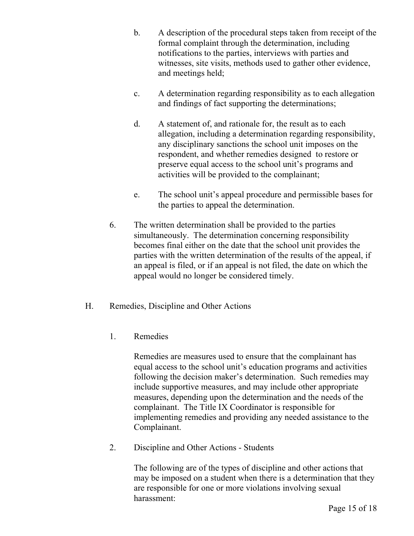- b. A description of the procedural steps taken from receipt of the formal complaint through the determination, including notifications to the parties, interviews with parties and witnesses, site visits, methods used to gather other evidence, and meetings held;
- c. A determination regarding responsibility as to each allegation and findings of fact supporting the determinations;
- d. A statement of, and rationale for, the result as to each allegation, including a determination regarding responsibility, any disciplinary sanctions the school unit imposes on the respondent, and whether remedies designed to restore or preserve equal access to the school unit's programs and activities will be provided to the complainant;
- e. The school unit's appeal procedure and permissible bases for the parties to appeal the determination.
- 6. The written determination shall be provided to the parties simultaneously. The determination concerning responsibility becomes final either on the date that the school unit provides the parties with the written determination of the results of the appeal, if an appeal is filed, or if an appeal is not filed, the date on which the appeal would no longer be considered timely.
- H. Remedies, Discipline and Other Actions
	- 1. Remedies

Remedies are measures used to ensure that the complainant has equal access to the school unit's education programs and activities following the decision maker's determination. Such remedies may include supportive measures, and may include other appropriate measures, depending upon the determination and the needs of the complainant. The Title IX Coordinator is responsible for implementing remedies and providing any needed assistance to the Complainant.

2. Discipline and Other Actions - Students

The following are of the types of discipline and other actions that may be imposed on a student when there is a determination that they are responsible for one or more violations involving sexual harassment: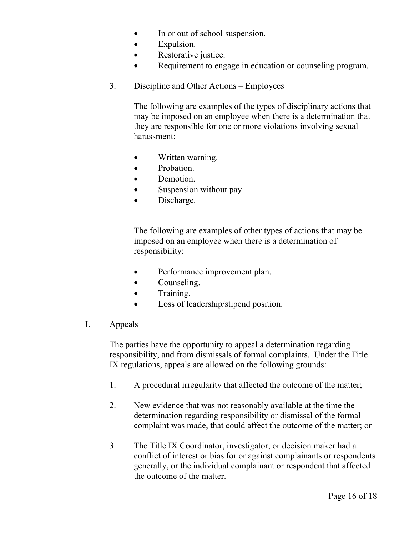- In or out of school suspension.
- Expulsion.
- Restorative justice.
- Requirement to engage in education or counseling program.
- 3. Discipline and Other Actions Employees

The following are examples of the types of disciplinary actions that may be imposed on an employee when there is a determination that they are responsible for one or more violations involving sexual harassment:

- Written warning.
- Probation.
- Demotion.
- Suspension without pay.
- Discharge.

The following are examples of other types of actions that may be imposed on an employee when there is a determination of responsibility:

- Performance improvement plan.
- Counseling.
- Training.
- Loss of leadership/stipend position.
- I. Appeals

The parties have the opportunity to appeal a determination regarding responsibility, and from dismissals of formal complaints. Under the Title IX regulations, appeals are allowed on the following grounds:

- 1. A procedural irregularity that affected the outcome of the matter;
- 2. New evidence that was not reasonably available at the time the determination regarding responsibility or dismissal of the formal complaint was made, that could affect the outcome of the matter; or
- 3. The Title IX Coordinator, investigator, or decision maker had a conflict of interest or bias for or against complainants or respondents generally, or the individual complainant or respondent that affected the outcome of the matter.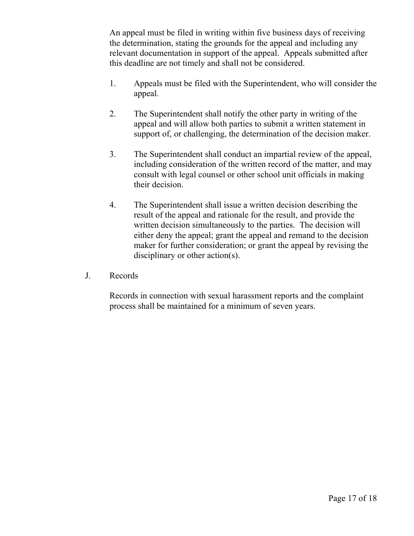An appeal must be filed in writing within five business days of receiving the determination, stating the grounds for the appeal and including any relevant documentation in support of the appeal. Appeals submitted after this deadline are not timely and shall not be considered.

- 1. Appeals must be filed with the Superintendent, who will consider the appeal.
- 2. The Superintendent shall notify the other party in writing of the appeal and will allow both parties to submit a written statement in support of, or challenging, the determination of the decision maker.
- 3. The Superintendent shall conduct an impartial review of the appeal, including consideration of the written record of the matter, and may consult with legal counsel or other school unit officials in making their decision.
- 4. The Superintendent shall issue a written decision describing the result of the appeal and rationale for the result, and provide the written decision simultaneously to the parties. The decision will either deny the appeal; grant the appeal and remand to the decision maker for further consideration; or grant the appeal by revising the disciplinary or other action(s).
- J. Records

Records in connection with sexual harassment reports and the complaint process shall be maintained for a minimum of seven years.